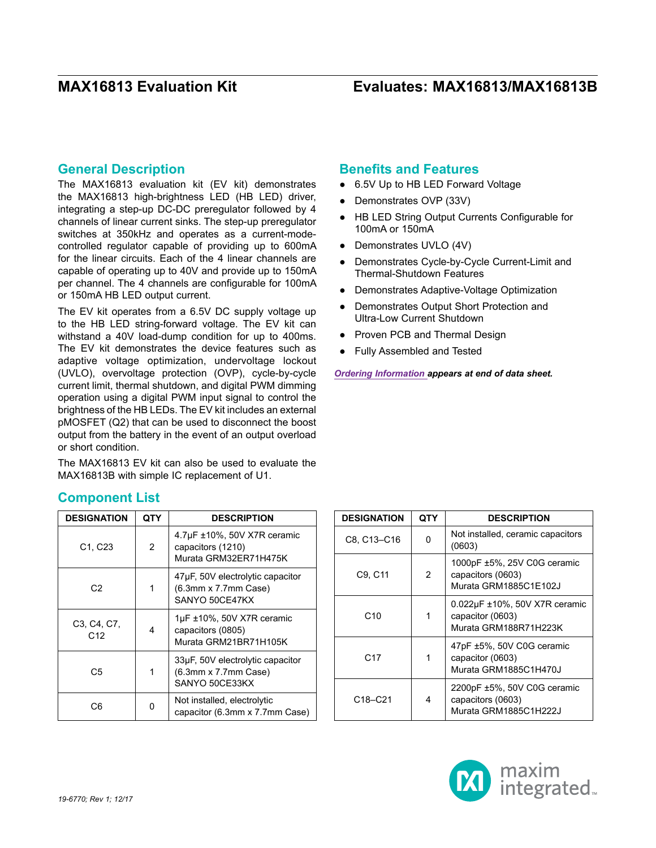### **General Description**

The MAX16813 evaluation kit (EV kit) demonstrates the MAX16813 high-brightness LED (HB LED) driver, integrating a step-up DC-DC preregulator followed by 4 channels of linear current sinks. The step-up preregulator switches at 350kHz and operates as a current-modecontrolled regulator capable of providing up to 600mA for the linear circuits. Each of the 4 linear channels are capable of operating up to 40V and provide up to 150mA per channel. The 4 channels are configurable for 100mA or 150mA HB LED output current.

The EV kit operates from a 6.5V DC supply voltage up to the HB LED string-forward voltage. The EV kit can withstand a 40V load-dump condition for up to 400ms. The EV kit demonstrates the device features such as adaptive voltage optimization, undervoltage lockout (UVLO), overvoltage protection (OVP), cycle-by-cycle current limit, thermal shutdown, and digital PWM dimming operation using a digital PWM input signal to control the brightness of the HB LEDs. The EV kit includes an external pMOSFET (Q2) that can be used to disconnect the boost output from the battery in the event of an output overload or short condition.

The MAX16813 EV kit can also be used to evaluate the MAX16813B with simple IC replacement of U1.

### **Benefits and Features**

- 6.5V Up to HB LED Forward Voltage
- Demonstrates OVP (33V)
- HB LED String Output Currents Configurable for 100mA or 150mA
- Demonstrates UVLO (4V)
- Demonstrates Cycle-by-Cycle Current-Limit and Thermal-Shutdown Features
- Demonstrates Adaptive-Voltage Optimization
- **Demonstrates Output Short Protection and** Ultra-Low Current Shutdown
- Proven PCB and Thermal Design
- ● Fully Assembled and Tested

*[Ordering Information a](#page-8-0)ppears at end of data sheet.*

| <b>DESIGNATION</b>               | QTY            | <b>DESCRIPTION</b>                                                           |
|----------------------------------|----------------|------------------------------------------------------------------------------|
| C <sub>1</sub> , C <sub>23</sub> | $\overline{2}$ | 4.7µF ±10%, 50V X7R ceramic<br>capacitors (1210)<br>Murata GRM32ER71H475K    |
| C <sub>2</sub>                   |                | 47µF, 50V electrolytic capacitor<br>(6.3mm x 7.7mm Case)<br>SANYO 50CE47KX   |
| C3, C4, C7,<br>C <sub>12</sub>   | 4              | $1\mu$ F ±10%, 50V X7R ceramic<br>capacitors (0805)<br>Murata GRM21BR71H105K |
| C5                               | 1              | 33µF, 50V electrolytic capacitor<br>(6.3mm x 7.7mm Case)<br>SANYO 50CE33KX   |
| С6                               | n              | Not installed, electrolytic<br>capacitor (6.3mm x 7.7mm Case)                |

| <b>DESIGNATION</b>               | QTY | <b>DESCRIPTION</b>                                                         |
|----------------------------------|-----|----------------------------------------------------------------------------|
| C8, C13-C16                      | n   | Not installed, ceramic capacitors<br>(0603)                                |
| C9, C11                          | 2   | 1000pF ±5%, 25V C0G ceramic<br>capacitors (0603)<br>Murata GRM1885C1E102J  |
| C <sub>10</sub>                  | 1   | 0.022µF ±10%, 50V X7R ceramic<br>capacitor (0603)<br>Murata GRM188R71H223K |
| C <sub>17</sub>                  | 1   | 47pF ±5%, 50V C0G ceramic<br>capacitor (0603)<br>Murata GRM1885C1H470J     |
| C <sub>18</sub> -C <sub>21</sub> | 4   | 2200pF ±5%, 50V C0G ceramic<br>capacitors (0603)<br>Murata GRM1885C1H222J  |



**Component List**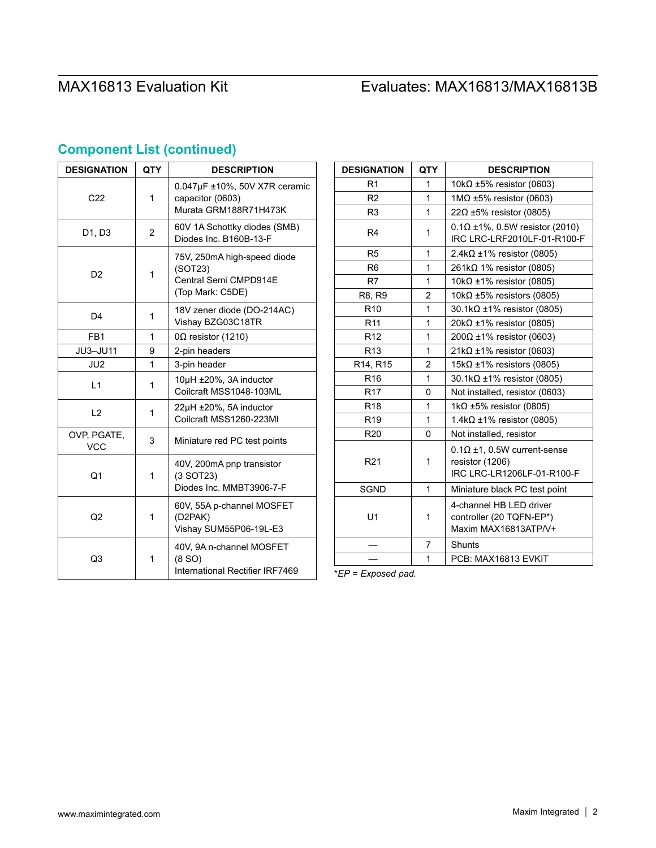| <b>DESIGNATION</b>        | QTY            | <b>DESCRIPTION</b>                                                                  |
|---------------------------|----------------|-------------------------------------------------------------------------------------|
| C <sub>22</sub>           | 1              | 0.047µF ±10%, 50V X7R ceramic<br>capacitor (0603)<br>Murata GRM188R71H473K          |
| D1, D3                    | $\overline{2}$ | 60V 1A Schottky diodes (SMB)<br>Diodes Inc. B160B-13-F                              |
| D <sub>2</sub>            | 1              | 75V, 250mA high-speed diode<br>(SOT23)<br>Central Semi CMPD914E<br>(Top Mark: C5DE) |
| D <sub>4</sub>            | 1              | 18V zener diode (DO-214AC)<br>Vishay BZG03C18TR                                     |
| FB <sub>1</sub>           | 1              | $0\Omega$ resistor (1210)                                                           |
| JU3-JU11                  | 9              | 2-pin headers                                                                       |
| JU2                       | 1              | 3-pin header                                                                        |
| L1                        | 1              | 10µH ±20%, 3A inductor<br>Coilcraft MSS1048-103ML                                   |
| L2                        | 1              | 22µH ±20%, 5A inductor<br>Coilcraft MSS1260-223MI                                   |
| OVP, PGATE,<br><b>VCC</b> | 3              | Miniature red PC test points                                                        |
| Q <sub>1</sub>            | 1              | 40V, 200mA pnp transistor<br>$(3$ SOT23)<br>Diodes Inc. MMBT3906-7-F                |
| Q <sub>2</sub>            | 1              | 60V, 55A p-channel MOSFET<br>(D2PAK)<br>Vishay SUM55P06-19L-E3                      |
| Q3                        | 1              | 40V, 9A n-channel MOSFET<br>(8 S <sub>O</sub> )<br>International Rectifier IRF7469  |

# **Component List (continued)**

| <b>DESIGNATION</b> | <b>QTY</b>     | <b>DESCRIPTION</b>                                                                  |  |
|--------------------|----------------|-------------------------------------------------------------------------------------|--|
| R <sub>1</sub>     | 1              | 10k $\Omega$ ±5% resistor (0603)                                                    |  |
| R <sub>2</sub>     | 1              | $1\text{M}\Omega$ ±5% resistor (0603)                                               |  |
| R <sub>3</sub>     | 1              | $22\Omega \pm 5\%$ resistor (0805)                                                  |  |
| R4                 | 1              | $0.1\Omega \pm 1\%$ , 0.5W resistor (2010)<br>IRC LRC-LRF2010LF-01-R100-F           |  |
| R <sub>5</sub>     | 1              | 2.4k $\Omega$ ±1% resistor (0805)                                                   |  |
| R <sub>6</sub>     | 1              | $261k\Omega$ 1% resistor (0805)                                                     |  |
| R7                 | 1              | $10k\Omega \pm 1\%$ resistor (0805)                                                 |  |
| R8, R9             | $\overline{2}$ | $10k\Omega$ ±5% resistors (0805)                                                    |  |
| R <sub>10</sub>    | 1              | $30.1 \text{k}\Omega \pm 1\%$ resistor (0805)                                       |  |
| R <sub>11</sub>    | 1              | $20k\Omega \pm 1\%$ resistor (0805)                                                 |  |
| R <sub>12</sub>    | 1              | $200Ω ±1%$ resistor (0603)                                                          |  |
| R <sub>13</sub>    | 1              | $21k\Omega \pm 1\%$ resistor (0603)                                                 |  |
| R14, R15           | $\overline{2}$ | $15k\Omega \pm 1\%$ resistors (0805)                                                |  |
| R <sub>16</sub>    | 1              | $30.1 \text{k}\Omega \pm 1\%$ resistor (0805)                                       |  |
| R <sub>17</sub>    | 0              | Not installed, resistor (0603)                                                      |  |
| R <sub>18</sub>    | 1              | 1k $\Omega$ ±5% resistor (0805)                                                     |  |
| R <sub>19</sub>    | 1              | $1.4$ k $\Omega$ ±1% resistor (0805)                                                |  |
| R <sub>20</sub>    | 0              | Not installed, resistor                                                             |  |
| R <sub>21</sub>    | 1              | $0.1\Omega$ ±1. 0.5W current-sense<br>resistor (1206)<br>IRC LRC-LR1206LF-01-R100-F |  |
| <b>SGND</b>        | 1              | Miniature black PC test point                                                       |  |
| U <sub>1</sub>     | 1              | 4-channel HB LED driver<br>controller (20 TQFN-EP*)<br>Maxim MAX16813ATP/V+         |  |
|                    | 7              | <b>Shunts</b>                                                                       |  |
|                    | 1              | PCB: MAX16813 EVKIT                                                                 |  |

\**EP = Exposed pad.*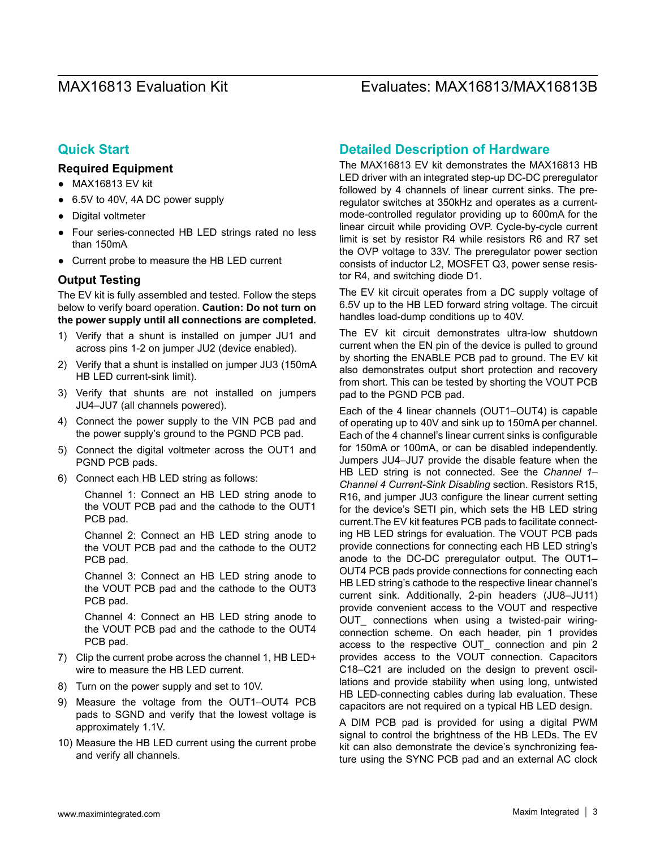### **Quick Start**

#### **Required Equipment**

- ● MAX16813 EV kit
- 6.5V to 40V, 4A DC power supply
- ● Digital voltmeter
- Four series-connected HB LED strings rated no less than 150mA
- ● Current probe to measure the HB LED current

#### **Output Testing**

The EV kit is fully assembled and tested. Follow the steps below to verify board operation. **Caution: Do not turn on the power supply until all connections are completed.**

- 1) Verify that a shunt is installed on jumper JU1 and across pins 1-2 on jumper JU2 (device enabled).
- 2) Verify that a shunt is installed on jumper JU3 (150mA HB LED current-sink limit).
- 3) Verify that shunts are not installed on jumpers JU4–JU7 (all channels powered).
- 4) Connect the power supply to the VIN PCB pad and the power supply's ground to the PGND PCB pad.
- 5) Connect the digital voltmeter across the OUT1 and PGND PCB pads.
- 6) Connect each HB LED string as follows:

Channel 1: Connect an HB LED string anode to the VOUT PCB pad and the cathode to the OUT1 PCB pad.

Channel 2: Connect an HB LED string anode to the VOUT PCB pad and the cathode to the OUT2 PCB pad.

Channel 3: Connect an HB LED string anode to the VOUT PCB pad and the cathode to the OUT3 PCB pad.

Channel 4: Connect an HB LED string anode to the VOUT PCB pad and the cathode to the OUT4 PCB pad.

- 7) Clip the current probe across the channel 1, HB LED+ wire to measure the HB LED current.
- 8) Turn on the power supply and set to 10V.
- 9) Measure the voltage from the OUT1–OUT4 PCB pads to SGND and verify that the lowest voltage is approximately 1.1V.
- 10) Measure the HB LED current using the current probe and verify all channels.

### **Detailed Description of Hardware**

The MAX16813 EV kit demonstrates the MAX16813 HB LED driver with an integrated step-up DC-DC preregulator followed by 4 channels of linear current sinks. The preregulator switches at 350kHz and operates as a currentmode-controlled regulator providing up to 600mA for the linear circuit while providing OVP. Cycle-by-cycle current limit is set by resistor R4 while resistors R6 and R7 set the OVP voltage to 33V. The preregulator power section consists of inductor L2, MOSFET Q3, power sense resistor R4, and switching diode D1.

The EV kit circuit operates from a DC supply voltage of 6.5V up to the HB LED forward string voltage. The circuit handles load-dump conditions up to 40V.

The EV kit circuit demonstrates ultra-low shutdown current when the EN pin of the device is pulled to ground by shorting the ENABLE PCB pad to ground. The EV kit also demonstrates output short protection and recovery from short. This can be tested by shorting the VOUT PCB pad to the PGND PCB pad.

Each of the 4 linear channels (OUT1–OUT4) is capable of operating up to 40V and sink up to 150mA per channel. Each of the 4 channel's linear current sinks is configurable for 150mA or 100mA, or can be disabled independently. Jumpers JU4–JU7 provide the disable feature when the HB LED string is not connected. See the *Channel 1– Channel 4 Current-Sink Disabling* section. Resistors R15, R16, and jumper JU3 configure the linear current setting for the device's SETI pin, which sets the HB LED string current.The EV kit features PCB pads to facilitate connecting HB LED strings for evaluation. The VOUT PCB pads provide connections for connecting each HB LED string's anode to the DC-DC preregulator output. The OUT1– OUT4 PCB pads provide connections for connecting each HB LED string's cathode to the respective linear channel's current sink. Additionally, 2-pin headers (JU8–JU11) provide convenient access to the VOUT and respective OUT connections when using a twisted-pair wiringconnection scheme. On each header, pin 1 provides access to the respective OUT\_ connection and pin 2 provides access to the VOUT connection. Capacitors C18–C21 are included on the design to prevent oscillations and provide stability when using long, untwisted HB LED-connecting cables during lab evaluation. These capacitors are not required on a typical HB LED design.

A DIM PCB pad is provided for using a digital PWM signal to control the brightness of the HB LEDs. The EV kit can also demonstrate the device's synchronizing feature using the SYNC PCB pad and an external AC clock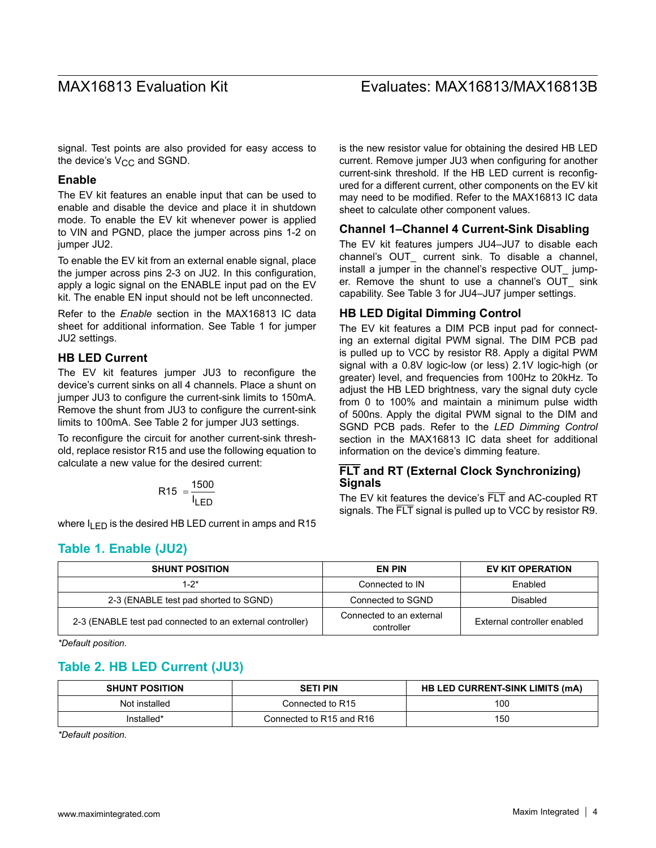signal. Test points are also provided for easy access to the device's  $V_{CC}$  and SGND.

#### **Enable**

The EV kit features an enable input that can be used to enable and disable the device and place it in shutdown mode. To enable the EV kit whenever power is applied to VIN and PGND, place the jumper across pins 1-2 on jumper JU2.

To enable the EV kit from an external enable signal, place the jumper across pins 2-3 on JU2. In this configuration, apply a logic signal on the ENABLE input pad on the EV kit. The enable EN input should not be left unconnected.

Refer to the *Enable* section in the MAX16813 IC data sheet for additional information. See Table 1 for jumper JU2 settings.

#### **HB LED Current**

The EV kit features jumper JU3 to reconfigure the device's current sinks on all 4 channels. Place a shunt on jumper JU3 to configure the current-sink limits to 150mA. Remove the shunt from JU3 to configure the current-sink limits to 100mA. See Table 2 for jumper JU3 settings.

To reconfigure the circuit for another current-sink threshold, replace resistor R15 and use the following equation to calculate a new value for the desired current:

$$
R15 = \frac{1500}{I_{LED}}
$$

where  $I_{LED}$  is the desired HB LED current in amps and R15

### **Table 1. Enable (JU2)**

is the new resistor value for obtaining the desired HB LED current. Remove jumper JU3 when configuring for another current-sink threshold. If the HB LED current is reconfigured for a different current, other components on the EV kit may need to be modified. Refer to the MAX16813 IC data sheet to calculate other component values.

#### **Channel 1–Channel 4 Current-Sink Disabling**

The EV kit features jumpers JU4–JU7 to disable each channel's OUT\_ current sink. To disable a channel, install a jumper in the channel's respective OUT\_ jumper. Remove the shunt to use a channel's OUT sink capability. See Table 3 for JU4–JU7 jumper settings.

#### **HB LED Digital Dimming Control**

The EV kit features a DIM PCB input pad for connecting an external digital PWM signal. The DIM PCB pad is pulled up to VCC by resistor R8. Apply a digital PWM signal with a 0.8V logic-low (or less) 2.1V logic-high (or greater) level, and frequencies from 100Hz to 20kHz. To adjust the HB LED brightness, vary the signal duty cycle from 0 to 100% and maintain a minimum pulse width of 500ns. Apply the digital PWM signal to the DIM and SGND PCB pads. Refer to the *LED Dimming Control* section in the MAX16813 IC data sheet for additional information on the device's dimming feature.

### **FLT and RT (External Clock Synchronizing) Signals**

The EV kit features the device's FLT and AC-coupled RT signals. The FLT signal is pulled up to VCC by resistor R9.

| <b>SHUNT POSITION</b>                                     | <b>EN PIN</b>                          | EV KIT OPERATION            |
|-----------------------------------------------------------|----------------------------------------|-----------------------------|
| $1 - 2^*$                                                 | Connected to IN                        | Fnabled                     |
| 2-3 (ENABLE test pad shorted to SGND)                     | Connected to SGND                      | Disabled                    |
| 2-3 (ENABLE test pad connected to an external controller) | Connected to an external<br>controller | External controller enabled |

*\*Default position.*

### **Table 2. HB LED Current (JU3)**

| <b>SHUNT POSITION</b> | <b>SETI PIN</b>          | <b>HB LED CURRENT-SINK LIMITS (MA)</b> |
|-----------------------|--------------------------|----------------------------------------|
| Not installed         | Connected to R15         | 100                                    |
| Installed*            | Connected to R15 and R16 | 150                                    |

*\*Default position.*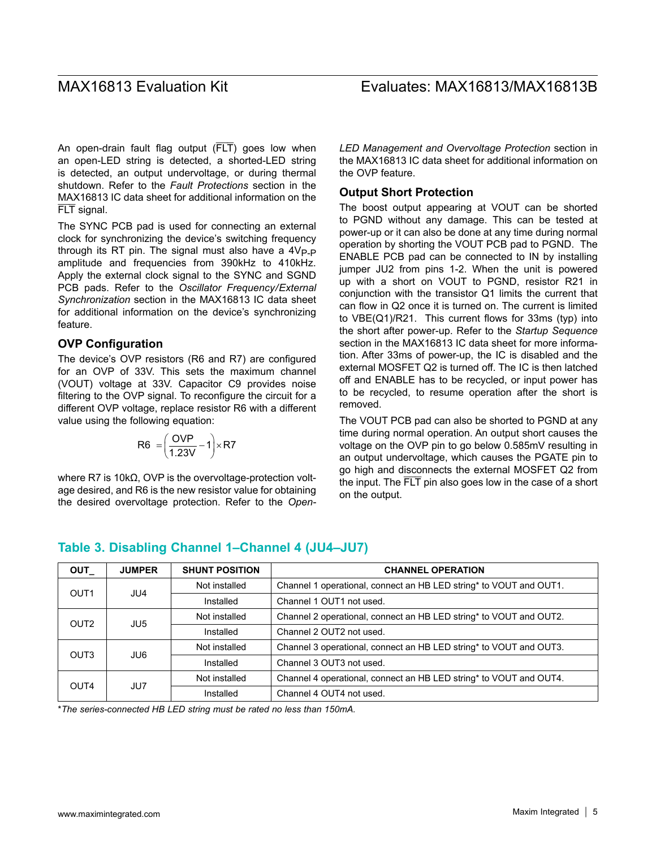An open-drain fault flag output (FLT) goes low when an open-LED string is detected, a shorted-LED string is detected, an output undervoltage, or during thermal shutdown. Refer to the *Fault Protections* section in the MAX16813 IC data sheet for additional information on the FLT signal.

The SYNC PCB pad is used for connecting an external clock for synchronizing the device's switching frequency through its RT pin. The signal must also have a  $4V_{P-P}$ amplitude and frequencies from 390kHz to 410kHz. Apply the external clock signal to the SYNC and SGND PCB pads. Refer to the *Oscillator Frequency/External Synchronization* section in the MAX16813 IC data sheet for additional information on the device's synchronizing feature.

### **OVP Configuration**

The device's OVP resistors (R6 and R7) are configured for an OVP of 33V. This sets the maximum channel (VOUT) voltage at 33V. Capacitor C9 provides noise filtering to the OVP signal. To reconfigure the circuit for a different OVP voltage, replace resistor R6 with a different value using the following equation:

$$
R6 = \left(\frac{OVP}{1.23V} - 1\right) \times R7
$$

where R7 is 10kΩ, OVP is the overvoltage-protection voltage desired, and R6 is the new resistor value for obtaining the desired overvoltage protection. Refer to the *Open-* *LED Management and Overvoltage Protection* section in the MAX16813 IC data sheet for additional information on the OVP feature.

#### **Output Short Protection**

The boost output appearing at VOUT can be shorted to PGND without any damage. This can be tested at power-up or it can also be done at any time during normal operation by shorting the VOUT PCB pad to PGND. The ENABLE PCB pad can be connected to IN by installing jumper JU2 from pins 1-2. When the unit is powered up with a short on VOUT to PGND, resistor R21 in conjunction with the transistor Q1 limits the current that can flow in Q2 once it is turned on. The current is limited to VBE(Q1)/R21. This current flows for 33ms (typ) into the short after power-up. Refer to the *Startup Sequence*  section in the MAX16813 IC data sheet for more information. After 33ms of power-up, the IC is disabled and the external MOSFET Q2 is turned off. The IC is then latched off and ENABLE has to be recycled, or input power has to be recycled, to resume operation after the short is removed.

The VOUT PCB pad can also be shorted to PGND at any time during normal operation. An output short causes the voltage on the OVP pin to go below 0.585mV resulting in an output undervoltage, which causes the PGATE pin to go high and disconnects the external MOSFET Q2 from the input. The FLT pin also goes low in the case of a short on the output.

#### **OUT\_ JUMPER SHUNT POSITION CHANNEL OPERATION** OUT1 JU4 Not installed **Channel 1** operational, connect an HB LED string\* to VOUT and OUT1. Installed Channel 1 OUT1 not used. OUT2 JU5 Not installed **Channel 2 operational, connect an HB LED string\* to VOUT and OUT2.** Installed Channel 2 OUT2 not used. OUT3 JU6 Not installed **Channel 3 operational, connect an HB LED string\* to VOUT and OUT3.** Installed Channel 3 OUT3 not used. OUT4 JU7 Not installed **Channel 4 operational, connect an HB LED string**\* to VOUT and OUT4. Installed Channel 4 OUT4 not used.

### **Table 3. Disabling Channel 1–Channel 4 (JU4–JU7)**

\**The series-connected HB LED string must be rated no less than 150mA.*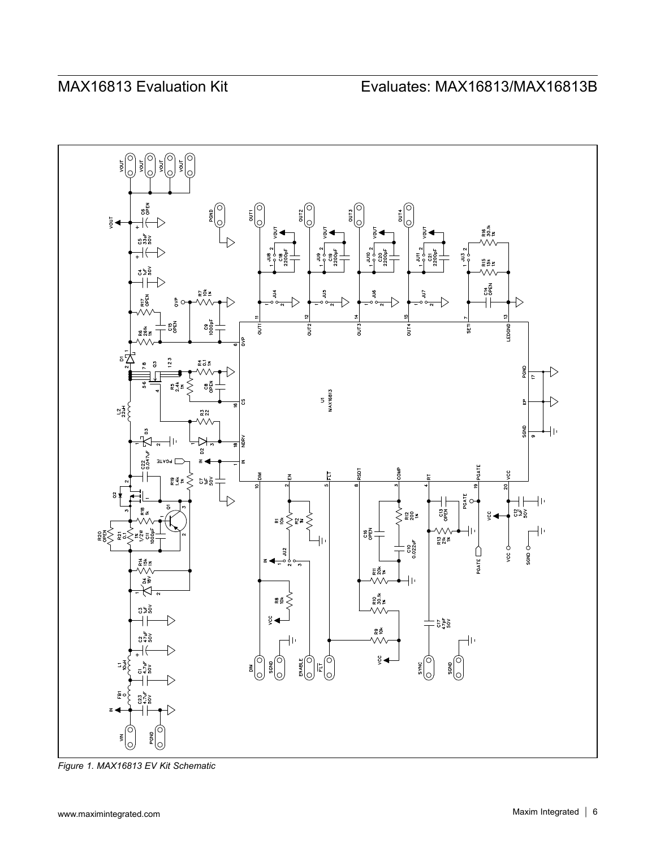

*Figure 1. MAX16813 EV Kit Schematic*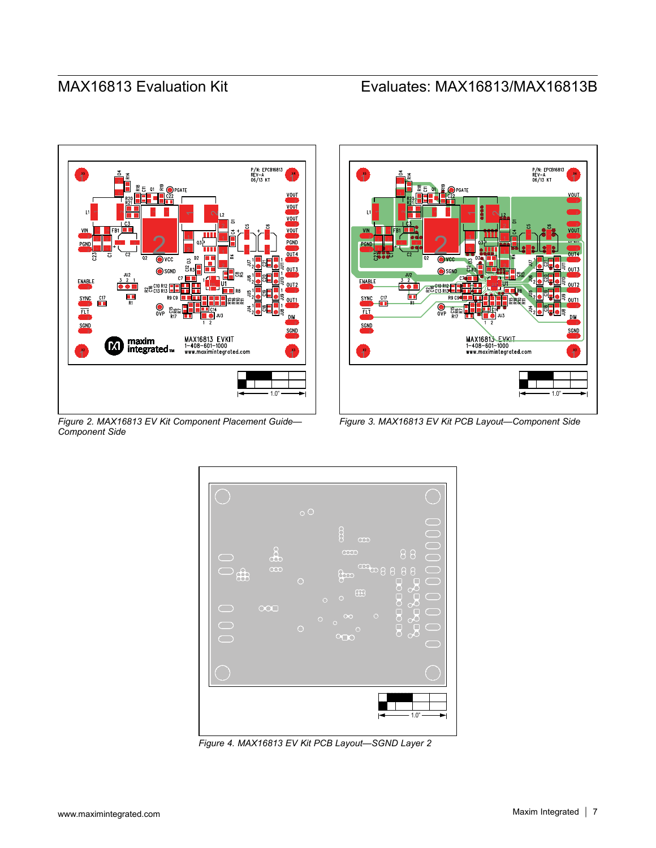

*Figure 2. MAX16813 EV Kit Component Placement Guide— Component Side*



*Figure 3. MAX16813 EV Kit PCB Layout—Component Side*



*Figure 4. MAX16813 EV Kit PCB Layout—SGND Layer 2*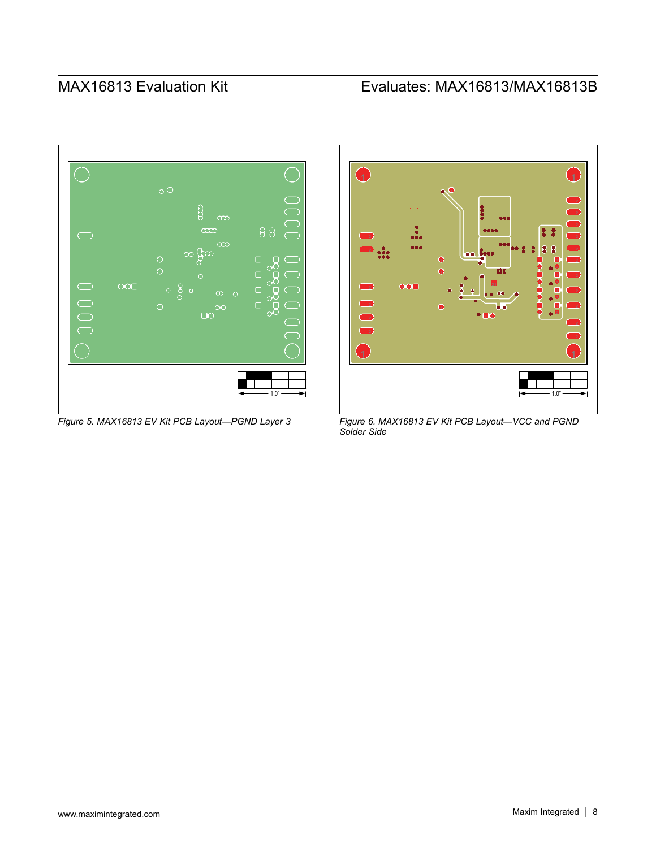



*Figure 5. MAX16813 EV Kit PCB Layout—PGND Layer 3 Figure 6. MAX16813 EV Kit PCB Layout—VCC and PGND Solder Side*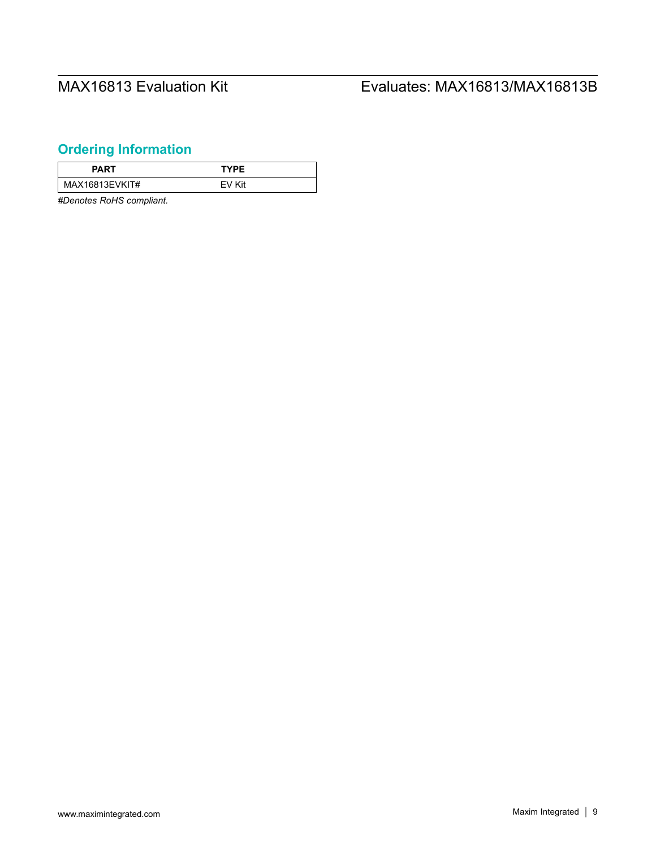# <span id="page-8-0"></span>**Ordering Information**

| <b>PART</b>    | TYPF   |
|----------------|--------|
| MAX16813EVKIT# | FV Kit |

*#Denotes RoHS compliant.*